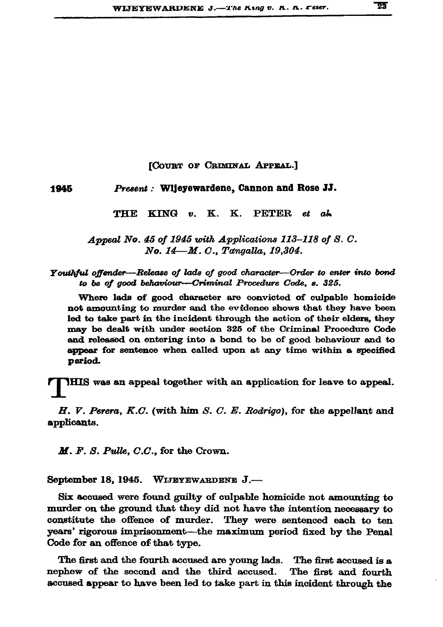## **[COURT OF CRIMINAL APPEAL.]**

1945 Present : Wijeyewardene, Cannon and Rose JJ.

> **THE**  $\mathbf{KING}$  v. K. K. **PETER** et ab

Appeal No. 45 of 1945 with Applications 113-118 of S.C. No. 14-M. C., Tangalla, 19,304.

Youthful offender—Release of lads of good character—Order to enter into bond to be of good behaviour---Criminal Procedure Code, s. 325.

Where lads of good character are convicted of culpable homicide not amounting to murder and the evidence shows that they have been led to take part in the incident through the action of their elders, they may be dealt with under section 325 of the Criminal Procedure Code and released on entering into a bond to be of good behaviour and to appear for sentence when called upon at any time within a specified period.

IHIS was an appeal together with an application for leave to appeal.

 $H.$  V. Perera, K.C. (with him S. C. E. Rodrigo), for the appellant and applicants.

 $M. F. S. \textit{Pulle}, C.C.,$  for the Crown.

September 18, 1945. WIJEYEWARDENE J.-

Six accused were found guilty of culpable homicide not amounting to murder on the ground that they did not have the intention necessary to constitute the offence of murder. They were sentenced each to ten years' rigorous imprisonment—the maximum period fixed by the Penal Code for an offence of that type.

The first and the fourth accused are young lads. The first accused is a nephew of the second and the third accused. The first and fourth accused appear to have been led to take part in this incident through the